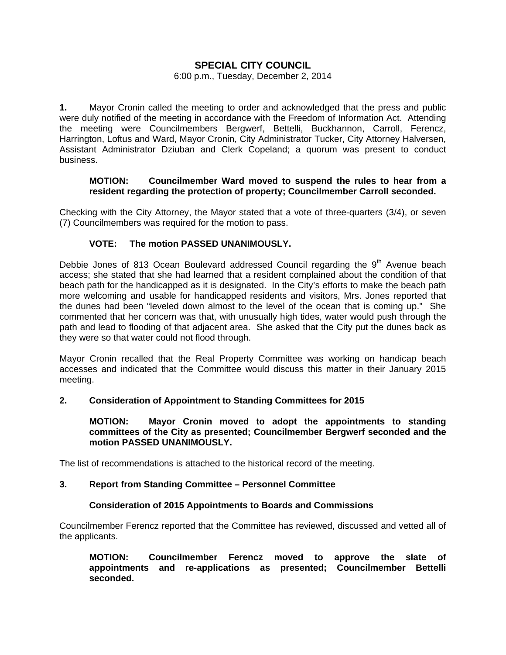# **SPECIAL CITY COUNCIL**

# 6:00 p.m., Tuesday, December 2, 2014

**1.** Mayor Cronin called the meeting to order and acknowledged that the press and public were duly notified of the meeting in accordance with the Freedom of Information Act. Attending the meeting were Councilmembers Bergwerf, Bettelli, Buckhannon, Carroll, Ferencz, Harrington, Loftus and Ward, Mayor Cronin, City Administrator Tucker, City Attorney Halversen, Assistant Administrator Dziuban and Clerk Copeland; a quorum was present to conduct business.

# **MOTION: Councilmember Ward moved to suspend the rules to hear from a resident regarding the protection of property; Councilmember Carroll seconded.**

Checking with the City Attorney, the Mayor stated that a vote of three-quarters (3/4), or seven (7) Councilmembers was required for the motion to pass.

# **VOTE: The motion PASSED UNANIMOUSLY.**

Debbie Jones of 813 Ocean Boulevard addressed Council regarding the  $9<sup>th</sup>$  Avenue beach access; she stated that she had learned that a resident complained about the condition of that beach path for the handicapped as it is designated. In the City's efforts to make the beach path more welcoming and usable for handicapped residents and visitors, Mrs. Jones reported that the dunes had been "leveled down almost to the level of the ocean that is coming up." She commented that her concern was that, with unusually high tides, water would push through the path and lead to flooding of that adjacent area. She asked that the City put the dunes back as they were so that water could not flood through.

Mayor Cronin recalled that the Real Property Committee was working on handicap beach accesses and indicated that the Committee would discuss this matter in their January 2015 meeting.

#### **2. Consideration of Appointment to Standing Committees for 2015**

#### **MOTION: Mayor Cronin moved to adopt the appointments to standing committees of the City as presented; Councilmember Bergwerf seconded and the motion PASSED UNANIMOUSLY.**

The list of recommendations is attached to the historical record of the meeting.

#### **3. Report from Standing Committee – Personnel Committee**

#### **Consideration of 2015 Appointments to Boards and Commissions**

Councilmember Ferencz reported that the Committee has reviewed, discussed and vetted all of the applicants.

**MOTION: Councilmember Ferencz moved to approve the slate of appointments and re-applications as presented; Councilmember Bettelli seconded.**